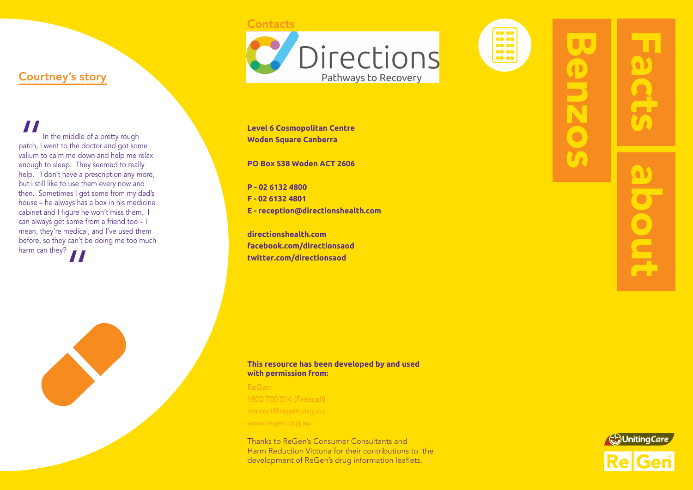#### **Contacts**



oia o o oo<br>oo<br>oo

# Courtney's story

|<br>|<br>| patch, l<br>| valium to<br>| enough In the middle of a pretty rough patch, I went to the doctor and got some valium to calm me down and help me relax enough to sleep. They seemed to really help. I don't have a prescription any more, but I still like to use them every now and then. Sometimes I get some from my dad's house – he always has a box in his medicine cabinet and I figure he won't miss them. I can always get some from a friend too – I mean, they're medical, and I've used them before, so they can't be doing me too much harm can they?<br> $\blacksquare$ 



**Level 6 Cosmopolitan Centre Woden Square Canberra**

**PO Box 538 Woden ACT 2606**

**P - 02 6132 4800 F - 02 6132 4801 E - reception@directionshealth.com**

**directionshealth.com facebook.com/directionsaod twitter.com/directionsaod**

### **This resource has been developed by and used with permission from:**

ReGen 1800 700 514 (Freecall) contact@regen.org.au www.regen.org.au

Thanks to ReGen's Consumer Consultants and Harm Reduction Victoria for their contributions to the development of ReGen's drug information leaflets.

UU

enzos